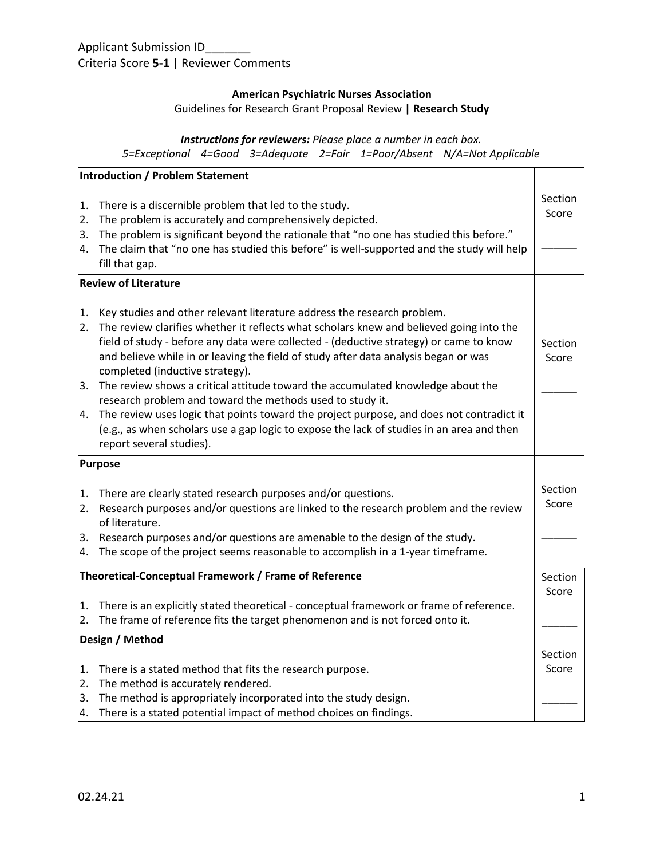## **American Psychiatric Nurses Association**

Guidelines for Research Grant Proposal Review **| Research Study**

# *Instructions for reviewers: Please place a number in each box.*

*5=Exceptional 4=Good 3=Adequate 2=Fair 1=Poor/Absent N/A=Not Applicable*

|                             | Introduction / Problem Statement                                                                                                                  |                  |
|-----------------------------|---------------------------------------------------------------------------------------------------------------------------------------------------|------------------|
| 1.                          | There is a discernible problem that led to the study.                                                                                             | Section<br>Score |
| 2.<br>3.                    | The problem is accurately and comprehensively depicted.<br>The problem is significant beyond the rationale that "no one has studied this before." |                  |
| 4.                          | The claim that "no one has studied this before" is well-supported and the study will help                                                         |                  |
|                             | fill that gap.                                                                                                                                    |                  |
| <b>Review of Literature</b> |                                                                                                                                                   |                  |
| 1.                          | Key studies and other relevant literature address the research problem.                                                                           |                  |
| 2.                          | The review clarifies whether it reflects what scholars knew and believed going into the                                                           |                  |
|                             | field of study - before any data were collected - (deductive strategy) or came to know                                                            | <b>Section</b>   |
|                             | and believe while in or leaving the field of study after data analysis began or was<br>completed (inductive strategy).                            | Score            |
| 3.                          | The review shows a critical attitude toward the accumulated knowledge about the                                                                   |                  |
|                             | research problem and toward the methods used to study it.                                                                                         |                  |
| 4.                          | The review uses logic that points toward the project purpose, and does not contradict it                                                          |                  |
|                             | (e.g., as when scholars use a gap logic to expose the lack of studies in an area and then                                                         |                  |
|                             | report several studies).                                                                                                                          |                  |
|                             | <b>Purpose</b>                                                                                                                                    |                  |
| 1.                          | There are clearly stated research purposes and/or questions.                                                                                      | Section          |
| 2.                          | Research purposes and/or questions are linked to the research problem and the review                                                              | Score            |
|                             | of literature.                                                                                                                                    |                  |
| 3.                          | Research purposes and/or questions are amenable to the design of the study.                                                                       |                  |
| 4.                          | The scope of the project seems reasonable to accomplish in a 1-year timeframe.                                                                    |                  |
|                             | Theoretical-Conceptual Framework / Frame of Reference                                                                                             | Section          |
|                             |                                                                                                                                                   | Score            |
| 1.                          | There is an explicitly stated theoretical - conceptual framework or frame of reference.                                                           |                  |
| 2.                          | The frame of reference fits the target phenomenon and is not forced onto it.                                                                      |                  |
| Design / Method             |                                                                                                                                                   |                  |
|                             |                                                                                                                                                   | Section          |
| 1.                          | There is a stated method that fits the research purpose.                                                                                          | Score            |
| 2.                          | The method is accurately rendered.                                                                                                                |                  |
| 3.                          | The method is appropriately incorporated into the study design.                                                                                   |                  |
| 4.                          | There is a stated potential impact of method choices on findings.                                                                                 |                  |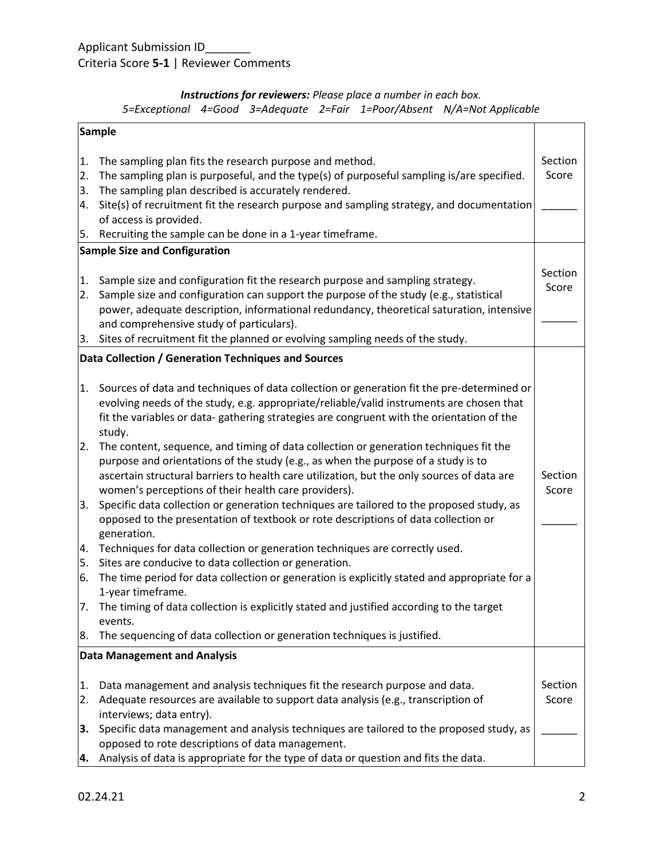# Applicant Submission ID\_\_\_\_\_\_\_\_ Criteria Score **5-1** | Reviewer Comments

## *Instructions for reviewers: Please place a number in each box. 5=Exceptional 4=Good 3=Adequate 2=Fair 1=Poor/Absent N/A=Not Applicable*

| Sample               |                                                                                                                                                                                                                                                                                                                                                                                                                                                                                                                    |                  |
|----------------------|--------------------------------------------------------------------------------------------------------------------------------------------------------------------------------------------------------------------------------------------------------------------------------------------------------------------------------------------------------------------------------------------------------------------------------------------------------------------------------------------------------------------|------------------|
| 1.<br>2.<br>3.<br>4. | The sampling plan fits the research purpose and method.<br>The sampling plan is purposeful, and the type(s) of purposeful sampling is/are specified.<br>The sampling plan described is accurately rendered.<br>Site(s) of recruitment fit the research purpose and sampling strategy, and documentation<br>of access is provided.                                                                                                                                                                                  | Section<br>Score |
| 5.                   | Recruiting the sample can be done in a 1-year timeframe.<br><b>Sample Size and Configuration</b>                                                                                                                                                                                                                                                                                                                                                                                                                   |                  |
| 1.<br>2.<br>3.       | Sample size and configuration fit the research purpose and sampling strategy.<br>Sample size and configuration can support the purpose of the study (e.g., statistical<br>power, adequate description, informational redundancy, theoretical saturation, intensive<br>and comprehensive study of particulars).<br>Sites of recruitment fit the planned or evolving sampling needs of the study.                                                                                                                    | Section<br>Score |
|                      | Data Collection / Generation Techniques and Sources                                                                                                                                                                                                                                                                                                                                                                                                                                                                |                  |
| 1.                   | Sources of data and techniques of data collection or generation fit the pre-determined or<br>evolving needs of the study, e.g. appropriate/reliable/valid instruments are chosen that<br>fit the variables or data- gathering strategies are congruent with the orientation of the<br>study.                                                                                                                                                                                                                       |                  |
| 2.<br>3.             | The content, sequence, and timing of data collection or generation techniques fit the<br>purpose and orientations of the study (e.g., as when the purpose of a study is to<br>ascertain structural barriers to health care utilization, but the only sources of data are<br>women's perceptions of their health care providers).<br>Specific data collection or generation techniques are tailored to the proposed study, as<br>opposed to the presentation of textbook or rote descriptions of data collection or | Section<br>Score |
| 4.                   | generation.<br>Techniques for data collection or generation techniques are correctly used.                                                                                                                                                                                                                                                                                                                                                                                                                         |                  |
| 5.                   | Sites are conducive to data collection or generation.                                                                                                                                                                                                                                                                                                                                                                                                                                                              |                  |
| 6.<br>17.            | The time period for data collection or generation is explicitly stated and appropriate for a<br>1-year timeframe.<br>The timing of data collection is explicitly stated and justified according to the target                                                                                                                                                                                                                                                                                                      |                  |
|                      | events.                                                                                                                                                                                                                                                                                                                                                                                                                                                                                                            |                  |
| 8.                   | The sequencing of data collection or generation techniques is justified.<br><b>Data Management and Analysis</b>                                                                                                                                                                                                                                                                                                                                                                                                    |                  |
|                      |                                                                                                                                                                                                                                                                                                                                                                                                                                                                                                                    |                  |
| 1.<br>2.             | Data management and analysis techniques fit the research purpose and data.<br>Adequate resources are available to support data analysis (e.g., transcription of                                                                                                                                                                                                                                                                                                                                                    | Section<br>Score |
| 3.                   | interviews; data entry).<br>Specific data management and analysis techniques are tailored to the proposed study, as<br>opposed to rote descriptions of data management.                                                                                                                                                                                                                                                                                                                                            |                  |
| 14.                  | Analysis of data is appropriate for the type of data or question and fits the data.                                                                                                                                                                                                                                                                                                                                                                                                                                |                  |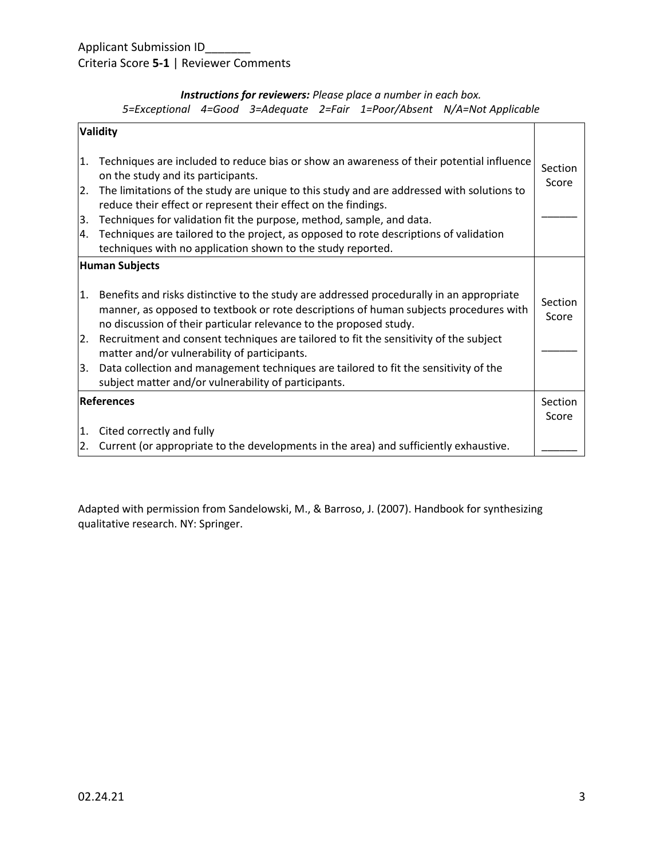# Applicant Submission ID\_\_\_\_\_\_\_ Criteria Score **5-1** | Reviewer Comments

## *Instructions for reviewers: Please place a number in each box. 5=Exceptional 4=Good 3=Adequate 2=Fair 1=Poor/Absent N/A=Not Applicable*

| <b>Validity</b>       |                                                                                                                                                                                                                                                                                                                                                                                                                                                                                                                                                  |                  |
|-----------------------|--------------------------------------------------------------------------------------------------------------------------------------------------------------------------------------------------------------------------------------------------------------------------------------------------------------------------------------------------------------------------------------------------------------------------------------------------------------------------------------------------------------------------------------------------|------------------|
| 1.                    | Techniques are included to reduce bias or show an awareness of their potential influence<br>on the study and its participants.                                                                                                                                                                                                                                                                                                                                                                                                                   | Section<br>Score |
| 2.                    | The limitations of the study are unique to this study and are addressed with solutions to<br>reduce their effect or represent their effect on the findings.                                                                                                                                                                                                                                                                                                                                                                                      |                  |
| 3.                    | Techniques for validation fit the purpose, method, sample, and data.                                                                                                                                                                                                                                                                                                                                                                                                                                                                             |                  |
| 4.                    | Techniques are tailored to the project, as opposed to rote descriptions of validation<br>techniques with no application shown to the study reported.                                                                                                                                                                                                                                                                                                                                                                                             |                  |
| <b>Human Subjects</b> |                                                                                                                                                                                                                                                                                                                                                                                                                                                                                                                                                  |                  |
| 1.<br>2.<br>3.        | Benefits and risks distinctive to the study are addressed procedurally in an appropriate<br>manner, as opposed to textbook or rote descriptions of human subjects procedures with<br>no discussion of their particular relevance to the proposed study.<br>Recruitment and consent techniques are tailored to fit the sensitivity of the subject<br>matter and/or vulnerability of participants.<br>Data collection and management techniques are tailored to fit the sensitivity of the<br>subject matter and/or vulnerability of participants. | Section<br>Score |
| <b>References</b>     |                                                                                                                                                                                                                                                                                                                                                                                                                                                                                                                                                  | Section<br>Score |
| 1.                    | Cited correctly and fully                                                                                                                                                                                                                                                                                                                                                                                                                                                                                                                        |                  |
| 2.                    | Current (or appropriate to the developments in the area) and sufficiently exhaustive.                                                                                                                                                                                                                                                                                                                                                                                                                                                            |                  |

Adapted with permission from Sandelowski, M., & Barroso, J. (2007). Handbook for synthesizing qualitative research. NY: Springer.